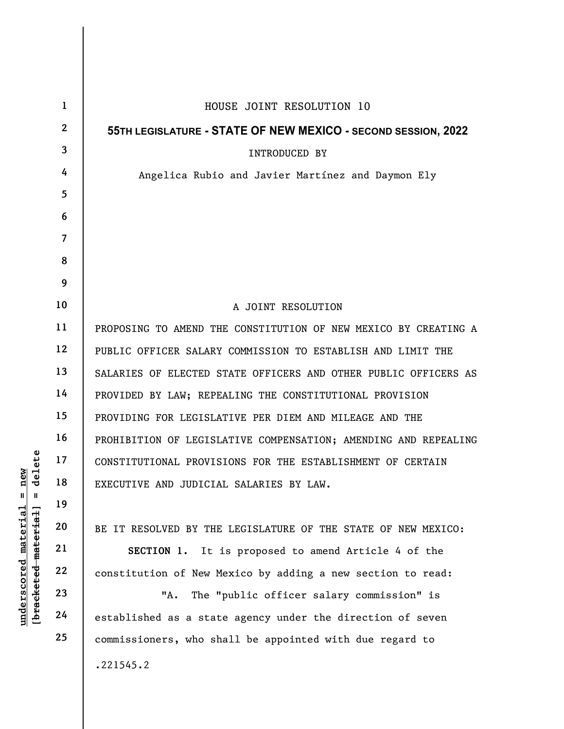| new<br>delete<br>$\mathsf{I}$<br>Ш                      | $\mathbf{1}$   | HOUSE JOINT RESOLUTION 10                                       |
|---------------------------------------------------------|----------------|-----------------------------------------------------------------|
|                                                         | $\mathbf{2}$   | 55TH LEGISLATURE - STATE OF NEW MEXICO - SECOND SESSION, 2022   |
|                                                         | 3              | <b>INTRODUCED BY</b>                                            |
|                                                         | 4              | Angelica Rubio and Javier Martínez and Daymon Ely               |
|                                                         | 5              |                                                                 |
|                                                         | 6              |                                                                 |
|                                                         | $\overline{7}$ |                                                                 |
|                                                         | 8              |                                                                 |
|                                                         | 9              |                                                                 |
|                                                         | 10             | A JOINT RESOLUTION                                              |
|                                                         | 11             | PROPOSING TO AMEND THE CONSTITUTION OF NEW MEXICO BY CREATING A |
|                                                         | 12             | PUBLIC OFFICER SALARY COMMISSION TO ESTABLISH AND LIMIT THE     |
|                                                         | 13             | SALARIES OF ELECTED STATE OFFICERS AND OTHER PUBLIC OFFICERS AS |
|                                                         | 14             | PROVIDED BY LAW; REPEALING THE CONSTITUTIONAL PROVISION         |
|                                                         | 15             | PROVIDING FOR LEGISLATIVE PER DIEM AND MILEAGE AND THE          |
|                                                         | 16             | PROHIBITION OF LEGISLATIVE COMPENSATION; AMENDING AND REPEALING |
|                                                         | 17             | CONSTITUTIONAL PROVISIONS FOR THE ESTABLISHMENT OF CERTAIN      |
|                                                         | 18             | EXECUTIVE AND JUDICIAL SALARIES BY LAW.                         |
|                                                         | 19             |                                                                 |
|                                                         | 20             | BE IT RESOLVED BY THE LEGISLATURE OF THE STATE OF NEW MEXICO:   |
| <u>material</u>                                         | 21             | SECTION 1. It is proposed to amend Article 4 of the             |
|                                                         | 22             | constitution of New Mexico by adding a new section to read:     |
| [ <del>bracketed material</del> ]<br><u>underscored</u> | 23             | "А.<br>The "public officer salary commission" is                |
|                                                         | 24             | established as a state agency under the direction of seven      |
|                                                         | 25             | commissioners, who shall be appointed with due regard to        |
|                                                         |                | .221545.2                                                       |
|                                                         |                |                                                                 |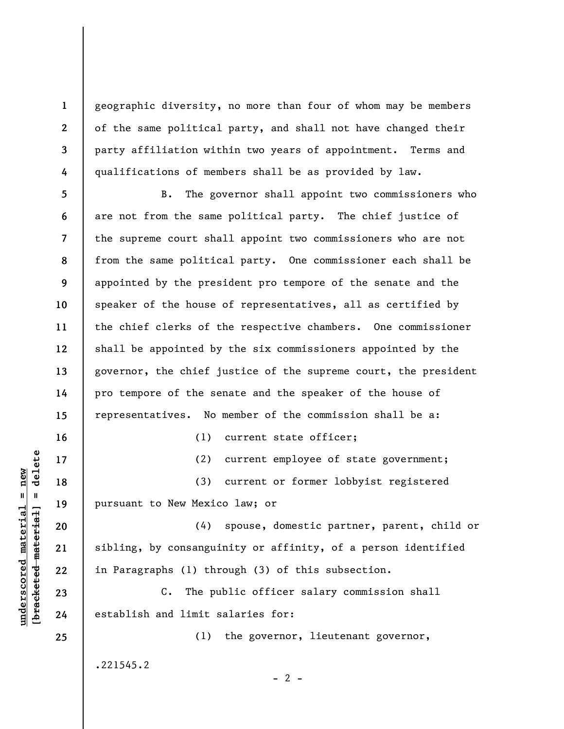geographic diversity, no more than four of whom may be members of the same political party, and shall not have changed their party affiliation within two years of appointment. Terms and qualifications of members shall be as provided by law.

5 6 7 8 9 10 11 12 13 14 15 B. The governor shall appoint two commissioners who are not from the same political party. The chief justice of the supreme court shall appoint two commissioners who are not from the same political party. One commissioner each shall be appointed by the president pro tempore of the senate and the speaker of the house of representatives, all as certified by the chief clerks of the respective chambers. One commissioner shall be appointed by the six commissioners appointed by the governor, the chief justice of the supreme court, the president pro tempore of the senate and the speaker of the house of representatives. No member of the commission shall be a:

(2) current employee of state government; (3) current or former lobbyist registered pursuant to New Mexico law; or

(1) current state officer;

underscored material material material material material of the solution of the solution of the solution of the<br>discrept material control of the solution of the solution of the solution<br>of the solution of the solution of t (4) spouse, domestic partner, parent, child or sibling, by consanguinity or affinity, of a person identified in Paragraphs (1) through (3) of this subsection.

 $- 2 -$ 

C. The public officer salary commission shall establish and limit salaries for:

(1) the governor, lieutenant governor,

.221545.2

16

17

18

19

20

21

22

23

24

25

1

2

3

4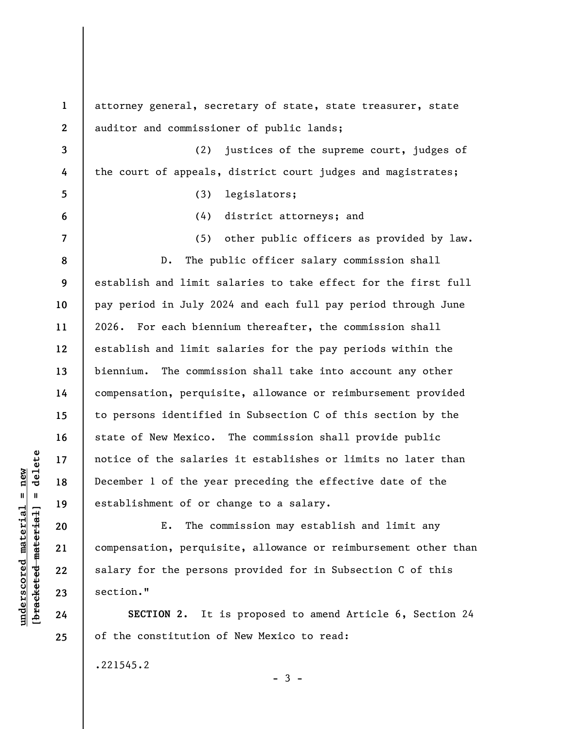understand matrice of the salarie<br>  $\begin{array}{c|c|c|c} \multicolumn{1}{c|}{\text{value}} & \multicolumn{1}{c}{\text{18}} & \multicolumn{1}{c}{\text{b}} \\ \hline 1 & 1 & 19 & 10 \\ 20 & \multicolumn{1}{c}{\text{e}tablishment of or c}} \\ 21 & \multicolumn{1}{c}{\text{compensation, perquis}} \\ 22 & \multicolumn{1}{c}{\text{salary for the person}} \\ 23 & \multicolumn{1}{c}{\text{section}} & \multicolumn{1}{c}{\text{3}} \\$ 1 2 3 4 5 6 7 8 9 10 11 12 13 14 15 16 17 18 19 20 21 22 attorney general, secretary of state, state treasurer, state auditor and commissioner of public lands; (2) justices of the supreme court, judges of the court of appeals, district court judges and magistrates; (3) legislators; (4) district attorneys; and (5) other public officers as provided by law. D. The public officer salary commission shall establish and limit salaries to take effect for the first full pay period in July 2024 and each full pay period through June 2026. For each biennium thereafter, the commission shall establish and limit salaries for the pay periods within the biennium. The commission shall take into account any other compensation, perquisite, allowance or reimbursement provided to persons identified in Subsection C of this section by the state of New Mexico. The commission shall provide public notice of the salaries it establishes or limits no later than December 1 of the year preceding the effective date of the establishment of or change to a salary. E. The commission may establish and limit any compensation, perquisite, allowance or reimbursement other than salary for the persons provided for in Subsection C of this

SECTION 2. It is proposed to amend Article 6, Section 24 of the constitution of New Mexico to read:

 $-3 -$ 

.221545.2

section."

23

24

25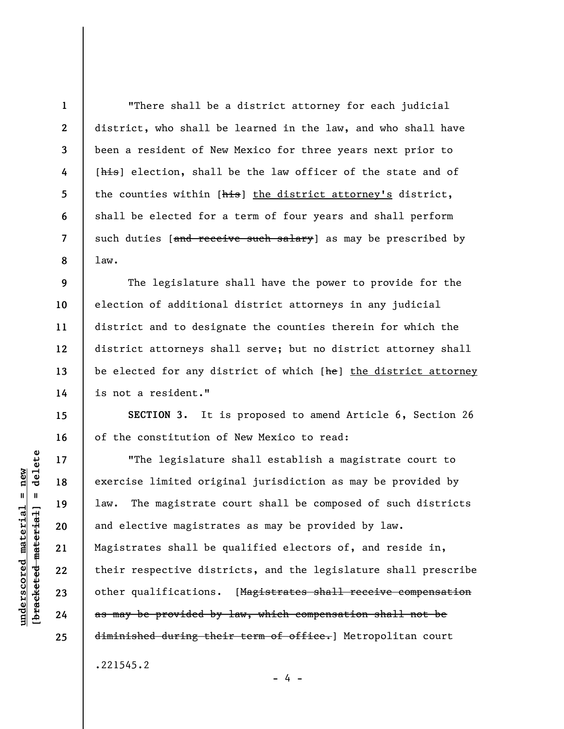"There shall be a district attorney for each judicial district, who shall be learned in the law, and who shall have been a resident of New Mexico for three years next prior to [his] election, shall be the law officer of the state and of the counties within [his] the district attorney's district, shall be elected for a term of four years and shall perform such duties [and receive such salary] as may be prescribed by law.

The legislature shall have the power to provide for the election of additional district attorneys in any judicial district and to designate the counties therein for which the district attorneys shall serve; but no district attorney shall be elected for any district of which [he] the district attorney is not a resident."

SECTION 3. It is proposed to amend Article 6, Section 26 of the constitution of New Mexico to read:

under 17<br>
= 18<br>
= 18<br>
= 19<br>
= 19<br>
= 19<br>
= 19<br>
= 19<br>
= 19<br>
= 14<br>
= 19<br>
= 14<br>
= 19<br>
= 14<br>
= 14<br>
= 14<br>
= 14<br>
= 14<br>
= 14<br>
= 14<br>
= 14<br>
= 14<br>
= 14<br>
= 14<br>
= 14<br>
= 14<br>
= 14<br>
= 14<br>
= 14<br>
= 14<br>
= 14<br>
= 14<br>
= 14<br>
= 14<br>
= 14<br>
= 14<br>
= "The legislature shall establish a magistrate court to exercise limited original jurisdiction as may be provided by law. The magistrate court shall be composed of such districts and elective magistrates as may be provided by law. Magistrates shall be qualified electors of, and reside in, their respective districts, and the legislature shall prescribe other qualifications. [Magistrates shall receive compensation as may be provided by law, which compensation shall not be diminished during their term of office.] Metropolitan court

 $- 4 -$ 

.221545.2

1

2

3

4

5

6

7

8

9

10

11

12

13

14

15

16

17

18

19

20

21

22

23

24

25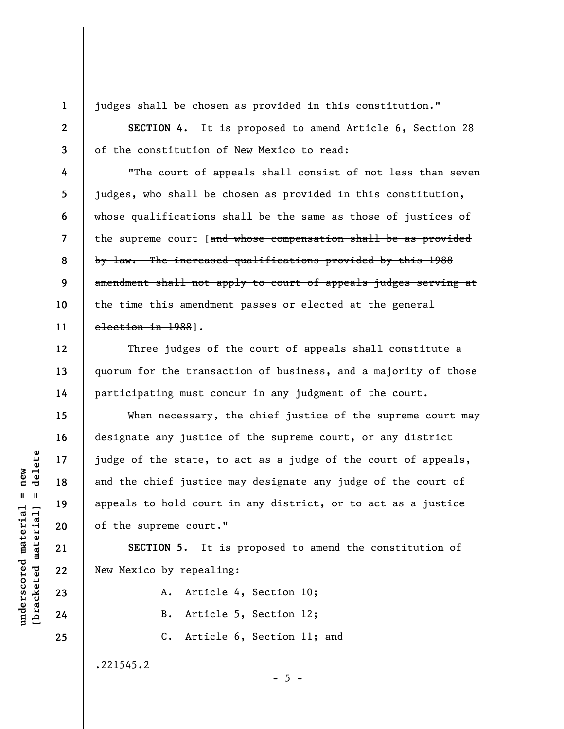1 2

3

4

5

6

7

8

9

10

11

12

13

14

15

16

17

18

19

20

21

22

23

24

25

judges shall be chosen as provided in this constitution."

SECTION 4. It is proposed to amend Article 6, Section 28 of the constitution of New Mexico to read:

"The court of appeals shall consist of not less than seven judges, who shall be chosen as provided in this constitution, whose qualifications shall be the same as those of justices of the supreme court [and whose compensation shall be as provided by law. The increased qualifications provided by this 1988 amendment shall not apply to court of appeals judges serving at the time this amendment passes or elected at the general election in 1988].

Three judges of the court of appeals shall constitute a quorum for the transaction of business, and a majority of those participating must concur in any judgment of the court.

understand material material end of the state, the state, the state material count of the supreme court.<br>
The suppeads to hold court<br>
we were court.<br>
The supplement of the supreme court.<br>
The supplement of the suppreme cou When necessary, the chief justice of the supreme court may designate any justice of the supreme court, or any district judge of the state, to act as a judge of the court of appeals, and the chief justice may designate any judge of the court of appeals to hold court in any district, or to act as a justice of the supreme court."

SECTION 5. It is proposed to amend the constitution of New Mexico by repealing:

 $- 5 -$ 

A. Article 4, Section 10;

B. Article 5, Section 12;

C. Article 6, Section 11; and

.221545.2